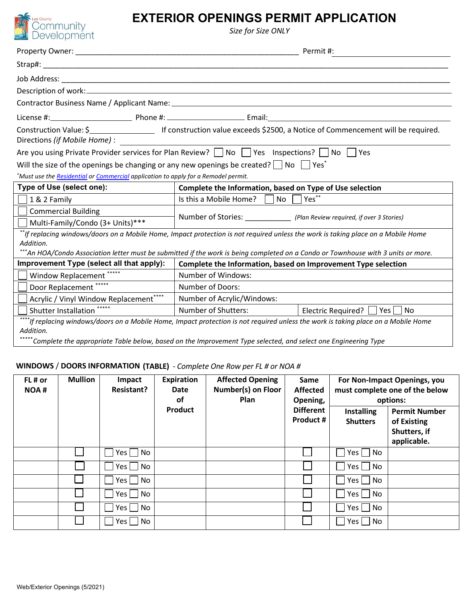

# **EXTERIOR OPENINGS PERMIT APPLICATION**

*Size for Size ONLY*

|                                                                                                                               | Permit #:                                                                                                                                                                                                                                                            |  |  |  |  |  |
|-------------------------------------------------------------------------------------------------------------------------------|----------------------------------------------------------------------------------------------------------------------------------------------------------------------------------------------------------------------------------------------------------------------|--|--|--|--|--|
|                                                                                                                               |                                                                                                                                                                                                                                                                      |  |  |  |  |  |
|                                                                                                                               |                                                                                                                                                                                                                                                                      |  |  |  |  |  |
|                                                                                                                               |                                                                                                                                                                                                                                                                      |  |  |  |  |  |
|                                                                                                                               |                                                                                                                                                                                                                                                                      |  |  |  |  |  |
|                                                                                                                               |                                                                                                                                                                                                                                                                      |  |  |  |  |  |
| Directions (if Mobile Home) :                                                                                                 |                                                                                                                                                                                                                                                                      |  |  |  |  |  |
| Are you using Private Provider services for Plan Review? $\Box$ No $\Box$ Yes Inspections? $\Box$ No $\Box$ Yes               |                                                                                                                                                                                                                                                                      |  |  |  |  |  |
| Will the size of the openings be changing or any new openings be created? $\vert$ $\vert$ No $\vert$ $\vert$ Yes <sup>*</sup> |                                                                                                                                                                                                                                                                      |  |  |  |  |  |
| *Must use the <b>Residential</b> or Commercial application to apply for a Remodel permit.                                     |                                                                                                                                                                                                                                                                      |  |  |  |  |  |
| Type of Use (select one):                                                                                                     | Complete the Information, based on Type of Use selection                                                                                                                                                                                                             |  |  |  |  |  |
| 1 & 2 Family                                                                                                                  | Yes**<br>Is this a Mobile Home?<br><b>No</b>                                                                                                                                                                                                                         |  |  |  |  |  |
| <b>Commercial Building</b>                                                                                                    |                                                                                                                                                                                                                                                                      |  |  |  |  |  |
| Multi-Family/Condo (3+ Units)***                                                                                              | Number of Stories: ____________ (Plan Review required, if over 3 Stories)                                                                                                                                                                                            |  |  |  |  |  |
| Addition.                                                                                                                     | **If replacing windows/doors on a Mobile Home, Impact protection is not required unless the work is taking place on a Mobile Home<br>*An HOA/Condo Association letter must be submitted if the work is being completed on a Condo or Townhouse with 3 units or more. |  |  |  |  |  |
| Improvement Type (select all that apply):                                                                                     | Complete the Information, based on Improvement Type selection                                                                                                                                                                                                        |  |  |  |  |  |
| Window Replacement *****                                                                                                      | Number of Windows:                                                                                                                                                                                                                                                   |  |  |  |  |  |
| Door Replacement *****                                                                                                        | Number of Doors:                                                                                                                                                                                                                                                     |  |  |  |  |  |
| Acrylic / Vinyl Window Replacement****                                                                                        | Number of Acrylic/Windows:                                                                                                                                                                                                                                           |  |  |  |  |  |
| Shutter Installation *****                                                                                                    | Number of Shutters:<br>Electric Required? $\Box$<br>$ Yes $   No                                                                                                                                                                                                     |  |  |  |  |  |
| Addition.                                                                                                                     | ****If replacing windows/doors on a Mobile Home, Impact protection is not required unless the work is taking place on a Mobile Home<br>Complete the appropriate Table below, based on the Improvement Type selected, and select one Engineering Type                 |  |  |  |  |  |

### **WINDOWS** / **DOORS INFORMATION (TABLE)** *- Complete One Row per FL # or NOA #*

| FL# or<br><b>NOA#</b> | <b>Mullion</b> | Impact<br><b>Resistant?</b> | <b>Expiration</b><br><b>Date</b><br>оf | <b>Affected Opening</b><br>Number(s) on Floor<br>Plan | Same<br><b>Affected</b><br>Opening, | For Non-Impact Openings, you<br>must complete one of the below<br>options: |                                                                    |
|-----------------------|----------------|-----------------------------|----------------------------------------|-------------------------------------------------------|-------------------------------------|----------------------------------------------------------------------------|--------------------------------------------------------------------|
|                       |                |                             | Product                                |                                                       | <b>Different</b><br>Product #       | <b>Installing</b><br><b>Shutters</b>                                       | <b>Permit Number</b><br>of Existing<br>Shutters, if<br>applicable. |
|                       |                | No<br>Yes l                 |                                        |                                                       |                                     | $Yes \mid \neg No$                                                         |                                                                    |
|                       |                | No<br>Yes l                 |                                        |                                                       |                                     | No<br>Yes                                                                  |                                                                    |
|                       |                | No.<br>Yes                  |                                        |                                                       |                                     | $Yes \mid \neg No$                                                         |                                                                    |
|                       |                | No<br>Yes                   |                                        |                                                       |                                     | $Yes \mid \neg No$                                                         |                                                                    |
|                       |                | No<br>Yes l                 |                                        |                                                       |                                     | $Yes \mid \neg No$                                                         |                                                                    |
|                       |                | No<br>Yes                   |                                        |                                                       |                                     | No<br>Yes                                                                  |                                                                    |